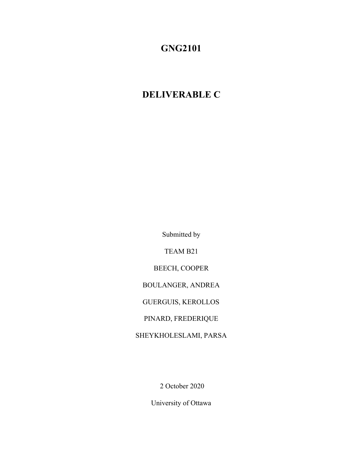# **GNG2101**

# **DELIVERABLE C**

Submitted by

TEAM B21

BEECH, COOPER

BOULANGER, ANDREA

GUERGUIS, KEROLLOS

PINARD, FREDERIQUE

SHEYKHOLESLAMI, PARSA

2 October 2020

University of Ottawa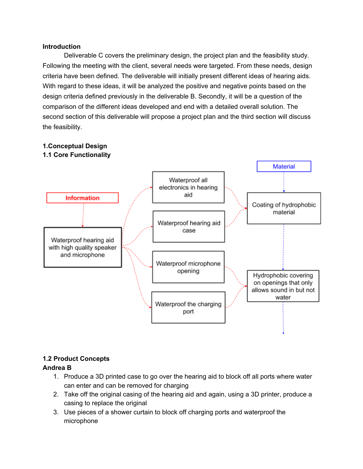#### **Introduction**

Deliverable C covers the preliminary design, the project plan and the feasibility study. Following the meeting with the client, several needs were targeted. From these needs, design criteria have been defined. The deliverable will initially present different ideas of hearing aids. With regard to these ideas, it will be analyzed the positive and negative points based on the design criteria defined previously in the deliverable B. Secondly, it will be a question of the comparison of the different ideas developed and end with a detailed overall solution. The second section of this deliverable will propose a project plan and the third section will discuss the feasibility.



## **1.Conceptual Design**

## **1.2 Product Concepts**

## **Andrea B**

- 1. Produce a 3D printed case to go over the hearing aid to block off all ports where water can enter and can be removed for charging
- 2. Take off the original casing of the hearing aid and again, using a 3D printer, produce a casing to replace the original
- 3. Use pieces of a shower curtain to block off charging ports and waterproof the microphone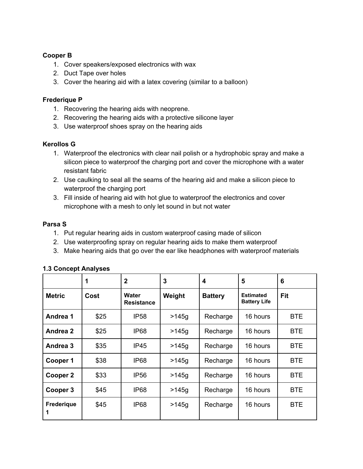#### **Cooper B**

- 1. Cover speakers/exposed electronics with wax
- 2. Duct Tape over holes
- 3. Cover the hearing aid with a latex covering (similar to a balloon)

#### **Frederique P**

- 1. Recovering the hearing aids with neoprene.
- 2. Recovering the hearing aids with a protective silicone layer
- 3. Use waterproof shoes spray on the hearing aids

#### **Kerollos G**

- 1. Waterproof the electronics with clear nail polish or a hydrophobic spray and make a silicon piece to waterproof the charging port and cover the microphone with a water resistant fabric
- 2. Use caulking to seal all the seams of the hearing aid and make a silicon piece to waterproof the charging port
- 3. Fill inside of hearing aid with hot glue to waterproof the electronics and cover microphone with a mesh to only let sound in but not water

#### **Parsa S**

- 1. Put regular hearing aids in custom waterproof casing made of silicon
- 2. Use waterproofing spray on regular hearing aids to make them waterproof
- 3. Make hearing aids that go over the ear like headphones with waterproof materials

|                 | 1    | $\overline{2}$             | 3       | 4              | 5                                       | 6          |
|-----------------|------|----------------------------|---------|----------------|-----------------------------------------|------------|
| <b>Metric</b>   | Cost | Water<br><b>Resistance</b> | Weight  | <b>Battery</b> | <b>Estimated</b><br><b>Battery Life</b> | Fit        |
| Andrea 1        | \$25 | <b>IP58</b>                | $>145q$ | Recharge       | 16 hours                                | <b>BTE</b> |
| Andrea 2        | \$25 | <b>IP68</b>                | $>145q$ | Recharge       | 16 hours                                | <b>BTE</b> |
| Andrea 3        | \$35 | IP45                       | $>145q$ | Recharge       | 16 hours                                | <b>BTE</b> |
| Cooper 1        | \$38 | IP <sub>68</sub>           | $>145g$ | Recharge       | 16 hours                                | <b>BTE</b> |
| Cooper 2        | \$33 | <b>IP56</b>                | $>145q$ | Recharge       | 16 hours                                | <b>BTE</b> |
| Cooper 3        | \$45 | IP <sub>68</sub>           | $>145q$ | Recharge       | 16 hours                                | <b>BTE</b> |
| Frederique<br>1 | \$45 | IP <sub>68</sub>           | $>145q$ | Recharge       | 16 hours                                | <b>BTE</b> |

#### **1.3 Concept Analyses**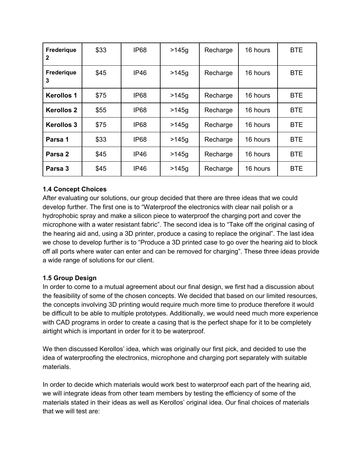| Frederique<br>2   | \$33 | IP <sub>68</sub> | $>145q$ | Recharge | 16 hours | <b>BTE</b> |
|-------------------|------|------------------|---------|----------|----------|------------|
| Frederique<br>3   | \$45 | <b>IP46</b>      | $>145q$ | Recharge | 16 hours | <b>BTE</b> |
| <b>Kerollos 1</b> | \$75 | <b>IP68</b>      | >145q   | Recharge | 16 hours | <b>BTE</b> |
| <b>Kerollos 2</b> | \$55 | <b>IP68</b>      | $>145q$ | Recharge | 16 hours | <b>BTE</b> |
| <b>Kerollos 3</b> | \$75 | IP <sub>68</sub> | >145q   | Recharge | 16 hours | <b>BTE</b> |
| Parsa 1           | \$33 | <b>IP68</b>      | >145q   | Recharge | 16 hours | <b>BTE</b> |
| Parsa 2           | \$45 | <b>IP46</b>      | $>145g$ | Recharge | 16 hours | <b>BTE</b> |
| Parsa 3           | \$45 | <b>IP46</b>      | >145q   | Recharge | 16 hours | <b>BTE</b> |

## **1.4 Concept Choices**

After evaluating our solutions, our group decided that there are three ideas that we could develop further. The first one is to "Waterproof the electronics with clear nail polish or a hydrophobic spray and make a silicon piece to waterproof the charging port and cover the microphone with a water resistant fabric". The second idea is to "Take off the original casing of the hearing aid and, using a 3D printer, produce a casing to replace the original". The last idea we chose to develop further is to "Produce a 3D printed case to go over the hearing aid to block off all ports where water can enter and can be removed for charging". These three ideas provide a wide range of solutions for our client.

## **1.5 Group Design**

In order to come to a mutual agreement about our final design, we first had a discussion about the feasibility of some of the chosen concepts. We decided that based on our limited resources, the concepts involving 3D printing would require much more time to produce therefore it would be difficult to be able to multiple prototypes. Additionally, we would need much more experience with CAD programs in order to create a casing that is the perfect shape for it to be completely airtight which is important in order for it to be waterproof.

We then discussed Kerollos' idea, which was originally our first pick, and decided to use the idea of waterproofing the electronics, microphone and charging port separately with suitable materials.

In order to decide which materials would work best to waterproof each part of the hearing aid, we will integrate ideas from other team members by testing the efficiency of some of the materials stated in their ideas as well as Kerollos' original idea. Our final choices of materials that we will test are: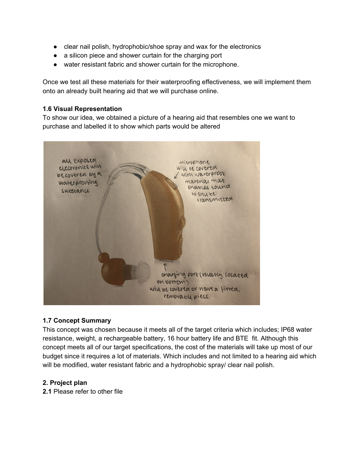- clear nail polish, hydrophobic/shoe spray and wax for the electronics
- a silicon piece and shower curtain for the charging port
- water resistant fabric and shower curtain for the microphone.

Once we test all these materials for their waterproofing effectiveness, we will implement them onto an already built hearing aid that we will purchase online.

#### **1.6 Visual Representation**

To show our idea, we obtained a picture of a hearing aid that resembles one we want to purchase and labelled it to show which parts would be altered



## **1.7 Concept Summary**

This concept was chosen because it meets all of the target criteria which includes; IP68 water resistance, weight, a rechargeable battery, 16 hour battery life and BTE fit. Although this concept meets all of our target specifications, the cost of the materials will take up most of our budget since it requires a lot of materials. Which includes and not limited to a hearing aid which will be modified, water resistant fabric and a hydrophobic spray/ clear nail polish.

## **2. Project plan**

**2.1** Please refer to other file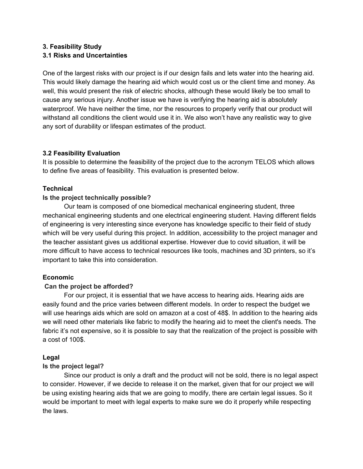## **3. Feasibility Study 3.1 Risks and Uncertainties**

One of the largest risks with our project is if our design fails and lets water into the hearing aid. This would likely damage the hearing aid which would cost us or the client time and money. As well, this would present the risk of electric shocks, although these would likely be too small to cause any serious injury. Another issue we have is verifying the hearing aid is absolutely waterproof. We have neither the time, nor the resources to properly verify that our product will withstand all conditions the client would use it in. We also won't have any realistic way to give any sort of durability or lifespan estimates of the product.

## **3.2 Feasibility Evaluation**

It is possible to determine the feasibility of the project due to the acronym TELOS which allows to define five areas of feasibility. This evaluation is presented below.

## **Technical**

## **Is the project technically possible?**

Our team is composed of one biomedical mechanical engineering student, three mechanical engineering students and one electrical engineering student. Having different fields of engineering is very interesting since everyone has knowledge specific to their field of study which will be very useful during this project. In addition, accessibility to the project manager and the teacher assistant gives us additional expertise. However due to covid situation, it will be more difficult to have access to technical resources like tools, machines and 3D printers, so it's important to take this into consideration.

## **Economic**

## **Can the project be afforded?**

For our project, it is essential that we have access to hearing aids. Hearing aids are easily found and the price varies between different models. In order to respect the budget we will use hearings aids which are sold on amazon at a cost of 48\$. In addition to the hearing aids we will need other materials like fabric to modify the hearing aid to meet the client's needs. The fabric it's not expensive, so it is possible to say that the realization of the project is possible with a cost of 100\$.

## **Legal**

## **Is the project legal?**

Since our product is only a draft and the product will not be sold, there is no legal aspect to consider. However, if we decide to release it on the market, given that for our project we will be using existing hearing aids that we are going to modify, there are certain legal issues. So it would be important to meet with legal experts to make sure we do it properly while respecting the laws.